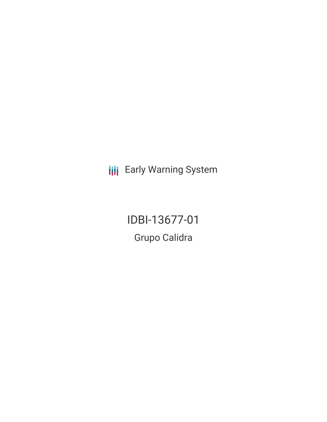**III** Early Warning System

IDBI-13677-01 Grupo Calidra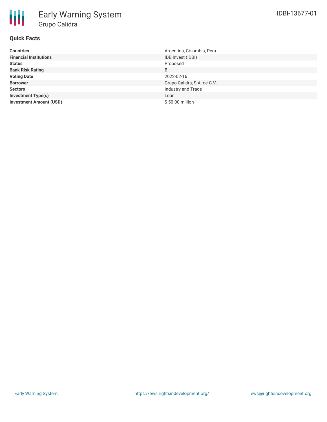# **Quick Facts**

| <b>Countries</b>               | Argentina, Colombia, Peru   |
|--------------------------------|-----------------------------|
| <b>Financial Institutions</b>  | IDB Invest (IDBI)           |
| <b>Status</b>                  | Proposed                    |
| <b>Bank Risk Rating</b>        | B                           |
| <b>Voting Date</b>             | 2022-02-16                  |
| <b>Borrower</b>                | Grupo Calidra, S.A. de C.V. |
| <b>Sectors</b>                 | Industry and Trade          |
| <b>Investment Type(s)</b>      | Loan                        |
| <b>Investment Amount (USD)</b> | \$50.00 million             |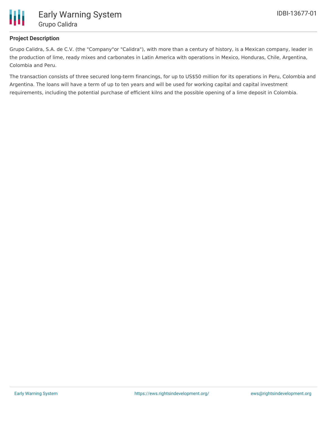

## **Project Description**

Grupo Calidra, S.A. de C.V. (the "Company"or "Calidra"), with more than a century of history, is a Mexican company, leader in the production of lime, ready mixes and carbonates in Latin America with operations in Mexico, Honduras, Chile, Argentina, Colombia and Peru.

The transaction consists of three secured long-term financings, for up to US\$50 million for its operations in Peru, Colombia and Argentina. The loans will have a term of up to ten years and will be used for working capital and capital investment requirements, including the potential purchase of efficient kilns and the possible opening of a lime deposit in Colombia.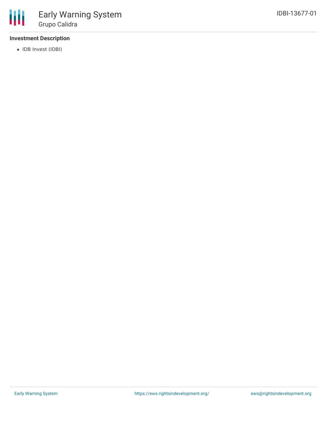

# **Investment Description**

• IDB Invest (IDBI)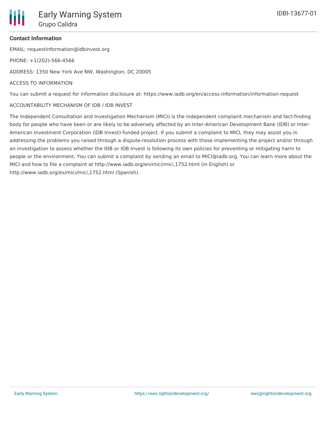EMAIL: requestinformation@idbinvest.org

PHONE: +1(202)-566-4566

ADDRESS: 1350 New York Ave NW, Washington, DC 20005

#### ACCESS TO INFORMATION

You can submit a request for information disclosure at: https://www.iadb.org/en/access-information/information-request

#### ACCOUNTABILITY MECHANISM OF IDB / IDB INVEST

The Independent Consultation and Investigation Mechanism (MICI) is the independent complaint mechanism and fact-finding body for people who have been or are likely to be adversely affected by an Inter-American Development Bank (IDB) or Inter-American Investment Corporation (IDB Invest)-funded project. If you submit a complaint to MICI, they may assist you in addressing the problems you raised through a dispute-resolution process with those implementing the project and/or through an investigation to assess whether the IDB or IDB Invest is following its own policies for preventing or mitigating harm to people or the environment. You can submit a complaint by sending an email to MICI@iadb.org. You can learn more about the MICI and how to file a complaint at http://www.iadb.org/en/mici/mici,1752.html (in English) or http://www.iadb.org/es/mici/mici,1752.html (Spanish).